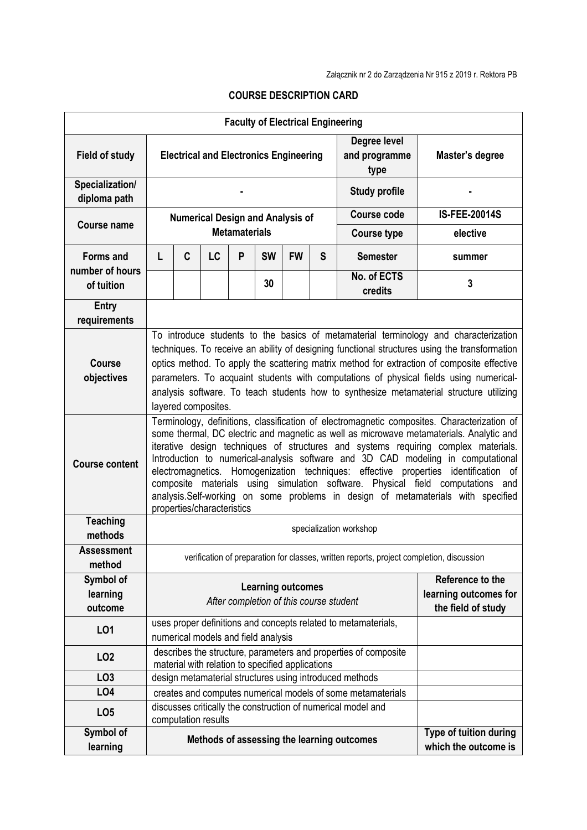| <b>Faculty of Electrical Engineering</b> |                                                                                                                                                                                                                                                                                                                                                                                                                                                                                                                                                                                                                                                             |   |                     |                      |           |                                             |                                       |                                                                 |                                                |  |  |
|------------------------------------------|-------------------------------------------------------------------------------------------------------------------------------------------------------------------------------------------------------------------------------------------------------------------------------------------------------------------------------------------------------------------------------------------------------------------------------------------------------------------------------------------------------------------------------------------------------------------------------------------------------------------------------------------------------------|---|---------------------|----------------------|-----------|---------------------------------------------|---------------------------------------|-----------------------------------------------------------------|------------------------------------------------|--|--|
| <b>Field of study</b>                    | <b>Electrical and Electronics Engineering</b>                                                                                                                                                                                                                                                                                                                                                                                                                                                                                                                                                                                                               |   |                     |                      |           |                                             | Degree level<br>and programme<br>type | Master's degree                                                 |                                                |  |  |
| Specialization/<br>diploma path          |                                                                                                                                                                                                                                                                                                                                                                                                                                                                                                                                                                                                                                                             |   |                     |                      |           |                                             |                                       | <b>Study profile</b>                                            |                                                |  |  |
|                                          | <b>Numerical Design and Analysis of</b>                                                                                                                                                                                                                                                                                                                                                                                                                                                                                                                                                                                                                     |   |                     |                      |           |                                             |                                       | <b>Course code</b>                                              | <b>IS-FEE-20014S</b>                           |  |  |
| <b>Course name</b>                       |                                                                                                                                                                                                                                                                                                                                                                                                                                                                                                                                                                                                                                                             |   |                     | <b>Metamaterials</b> |           |                                             |                                       | <b>Course type</b>                                              | elective                                       |  |  |
| <b>Forms and</b>                         | L                                                                                                                                                                                                                                                                                                                                                                                                                                                                                                                                                                                                                                                           | C | LC                  | P                    | <b>SW</b> | <b>FW</b>                                   | S                                     | <b>Semester</b>                                                 | summer                                         |  |  |
| number of hours<br>of tuition            |                                                                                                                                                                                                                                                                                                                                                                                                                                                                                                                                                                                                                                                             |   |                     |                      | 30        |                                             |                                       | No. of ECTS                                                     | 3                                              |  |  |
|                                          |                                                                                                                                                                                                                                                                                                                                                                                                                                                                                                                                                                                                                                                             |   |                     |                      |           |                                             |                                       | credits                                                         |                                                |  |  |
| <b>Entry</b><br>requirements             |                                                                                                                                                                                                                                                                                                                                                                                                                                                                                                                                                                                                                                                             |   |                     |                      |           |                                             |                                       |                                                                 |                                                |  |  |
| <b>Course</b><br>objectives              | To introduce students to the basics of metamaterial terminology and characterization<br>techniques. To receive an ability of designing functional structures using the transformation<br>optics method. To apply the scattering matrix method for extraction of composite effective<br>parameters. To acquaint students with computations of physical fields using numerical-<br>analysis software. To teach students how to synthesize metamaterial structure utilizing<br>layered composites.                                                                                                                                                             |   |                     |                      |           |                                             |                                       |                                                                 |                                                |  |  |
| <b>Course content</b>                    | Terminology, definitions, classification of electromagnetic composites. Characterization of<br>some thermal, DC electric and magnetic as well as microwave metamaterials. Analytic and<br>iterative design techniques of structures and systems requiring complex materials.<br>Introduction to numerical-analysis software and 3D CAD modeling in computational<br>electromagnetics. Homogenization techniques: effective properties identification of<br>composite materials using simulation software. Physical field computations and<br>analysis.Self-working on some problems in design of metamaterials with specified<br>properties/characteristics |   |                     |                      |           |                                             |                                       |                                                                 |                                                |  |  |
| <b>Teaching</b><br>methods               | specialization workshop                                                                                                                                                                                                                                                                                                                                                                                                                                                                                                                                                                                                                                     |   |                     |                      |           |                                             |                                       |                                                                 |                                                |  |  |
| <b>Assessment</b><br>method              | verification of preparation for classes, written reports, project completion, discussion                                                                                                                                                                                                                                                                                                                                                                                                                                                                                                                                                                    |   |                     |                      |           |                                             |                                       |                                                                 |                                                |  |  |
| Symbol of                                |                                                                                                                                                                                                                                                                                                                                                                                                                                                                                                                                                                                                                                                             |   |                     |                      |           |                                             |                                       |                                                                 | Reference to the                               |  |  |
| learning<br>outcome                      | <b>Learning outcomes</b><br>After completion of this course student                                                                                                                                                                                                                                                                                                                                                                                                                                                                                                                                                                                         |   |                     |                      |           | learning outcomes for<br>the field of study |                                       |                                                                 |                                                |  |  |
| LO1                                      | uses proper definitions and concepts related to metamaterials,<br>numerical models and field analysis                                                                                                                                                                                                                                                                                                                                                                                                                                                                                                                                                       |   |                     |                      |           |                                             |                                       |                                                                 |                                                |  |  |
| LO <sub>2</sub>                          |                                                                                                                                                                                                                                                                                                                                                                                                                                                                                                                                                                                                                                                             |   |                     |                      |           |                                             |                                       | describes the structure, parameters and properties of composite |                                                |  |  |
| LO <sub>3</sub>                          | material with relation to specified applications<br>design metamaterial structures using introduced methods                                                                                                                                                                                                                                                                                                                                                                                                                                                                                                                                                 |   |                     |                      |           |                                             |                                       |                                                                 |                                                |  |  |
| LO <sub>4</sub>                          |                                                                                                                                                                                                                                                                                                                                                                                                                                                                                                                                                                                                                                                             |   |                     |                      |           |                                             |                                       | creates and computes numerical models of some metamaterials     |                                                |  |  |
| LO <sub>5</sub>                          |                                                                                                                                                                                                                                                                                                                                                                                                                                                                                                                                                                                                                                                             |   | computation results |                      |           |                                             |                                       | discusses critically the construction of numerical model and    |                                                |  |  |
| Symbol of<br>learning                    |                                                                                                                                                                                                                                                                                                                                                                                                                                                                                                                                                                                                                                                             |   |                     |                      |           |                                             |                                       | Methods of assessing the learning outcomes                      | Type of tuition during<br>which the outcome is |  |  |

## **COURSE DESCRIPTION CARD**